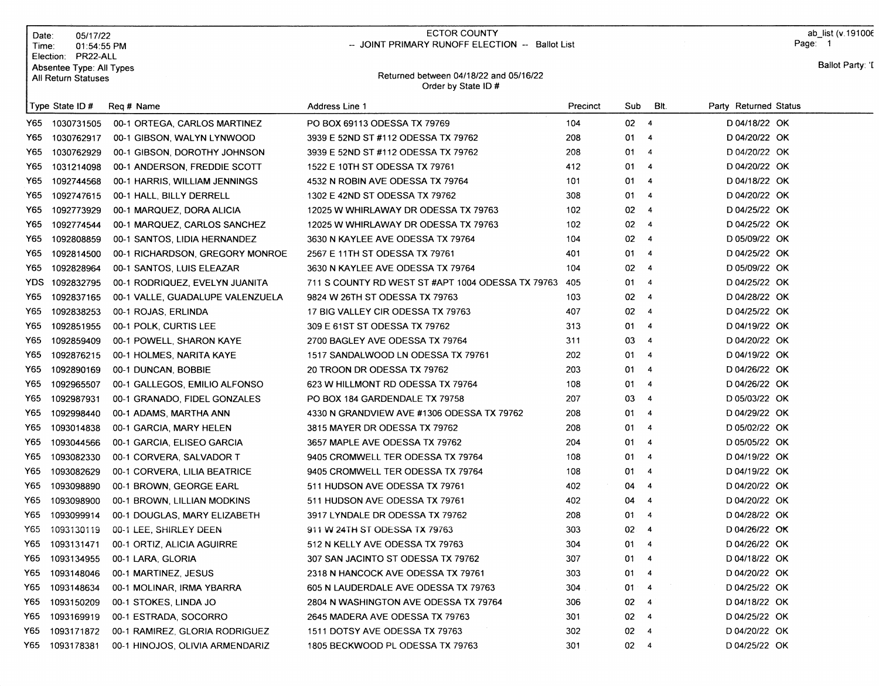|       | Date:<br>Time:                                                        | 05/17/22<br>01:54:55 PM          | <b>ECTOR COUNTY</b><br>-- JOINT PRIMARY RUNOFF ELECTION -- Ballot List |          |                               |      |                       | ab_list (v.191006<br>Page: 1 |
|-------|-----------------------------------------------------------------------|----------------------------------|------------------------------------------------------------------------|----------|-------------------------------|------|-----------------------|------------------------------|
|       | Election: PR22-ALL<br>Absentee Type: All Types<br>All Return Statuses |                                  | Returned between 04/18/22 and 05/16/22<br>Order by State ID#           |          |                               |      |                       | Ballot Party: 'I             |
|       | Type State ID #                                                       | Req # Name                       | <b>Address Line 1</b>                                                  | Precinct | Sub                           | BIt. | Party Returned Status |                              |
| Y65   | 1030731505                                                            | 00-1 ORTEGA, CARLOS MARTINEZ     | PO BOX 69113 ODESSA TX 79769                                           | 104      | $02 - 4$                      |      | D 04/18/22 OK         |                              |
| Y65   | 1030762917                                                            | 00-1 GIBSON, WALYN LYNWOOD       | 3939 E 52ND ST #112 ODESSA TX 79762                                    | 208      | 01<br>$\overline{4}$          |      | D 04/20/22 OK         |                              |
| Y65   | 1030762929                                                            | 00-1 GIBSON, DOROTHY JOHNSON     | 3939 E 52ND ST #112 ODESSA TX 79762                                    | 208      | 01<br>$\overline{4}$          |      | D 04/20/22 OK         |                              |
| Y65   | 1031214098                                                            | 00-1 ANDERSON, FREDDIE SCOTT     | 1522 E 10TH ST ODESSA TX 79761                                         | 412      | 01<br>$\overline{4}$          |      | D 04/20/22 OK         |                              |
| Y65   | 1092744568                                                            | 00-1 HARRIS, WILLIAM JENNINGS    | 4532 N ROBIN AVE ODESSA TX 79764                                       | 101      | 01<br>$\overline{4}$          |      | D 04/18/22 OK         |                              |
| Y65   | 1092747615                                                            | 00-1 HALL, BILLY DERRELL         | 1302 E 42ND ST ODESSA TX 79762                                         | 308      | 01<br>$\overline{4}$          |      | D 04/20/22 OK         |                              |
| Y65   | 1092773929                                                            | 00-1 MARQUEZ, DORA ALICIA        | 12025 W WHIRLAWAY DR ODESSA TX 79763                                   | 102      | 02<br>$\overline{4}$          |      | D 04/25/22 OK         |                              |
| Y65   | 1092774544                                                            | 00-1 MARQUEZ, CARLOS SANCHEZ     | 12025 W WHIRLAWAY DR ODESSA TX 79763                                   | 102      | 02<br>$\overline{4}$          |      | D 04/25/22 OK         |                              |
| Y65   | 1092808859                                                            | 00-1 SANTOS, LIDIA HERNANDEZ     | 3630 N KAYLEE AVE ODESSA TX 79764                                      | 104      | 02<br>$\overline{4}$          |      | D 05/09/22 OK         |                              |
| Y65   | 1092814500                                                            | 00-1 RICHARDSON, GREGORY MONROE  | 2567 E 11TH ST ODESSA TX 79761                                         | 401      | 01<br>$\overline{4}$          |      | D 04/25/22 OK         |                              |
| Y65   | 1092828964                                                            | 00-1 SANTOS, LUIS ELEAZAR        | 3630 N KAYLEE AVE ODESSA TX 79764                                      | 104      | 02<br>4                       |      | D 05/09/22 OK         |                              |
| YDS.  | 1092832795                                                            | 00-1 RODRIQUEZ, EVELYN JUANITA   | 711 S COUNTY RD WEST ST #APT 1004 ODESSA TX 79763                      | 405      | 01<br>$\overline{4}$          |      | D 04/25/22 OK         |                              |
| Y65   | 1092837165                                                            | 00-1 VALLE, GUADALUPE VALENZUELA | 9824 W 26TH ST ODESSA TX 79763                                         | 103      | 02<br>$\overline{4}$          |      | D 04/28/22 OK         |                              |
| Y65   | 1092838253                                                            | 00-1 ROJAS, ERLINDA              | 17 BIG VALLEY CIR ODESSA TX 79763                                      | 407      | 02<br>$\overline{4}$          |      | D 04/25/22 OK         |                              |
| Y65   | 1092851955                                                            | 00-1 POLK, CURTIS LEE            | 309 E 61ST ST ODESSA TX 79762                                          | 313      | 01<br>$\overline{4}$          |      | D 04/19/22 OK         |                              |
| Y65   | 1092859409                                                            | 00-1 POWELL, SHARON KAYE         | 2700 BAGLEY AVE ODESSA TX 79764                                        | 311      | 03<br>$\overline{4}$          |      | D 04/20/22 OK         |                              |
| Y65   | 1092876215                                                            | 00-1 HOLMES, NARITA KAYE         | 1517 SANDALWOOD LN ODESSA TX 79761                                     | 202      | 01<br>$\overline{4}$          |      | D 04/19/22 OK         |                              |
| Y65.  | 1092890169                                                            | 00-1 DUNCAN, BOBBIE              | 20 TROON DR ODESSA TX 79762                                            | 203      | 01<br>$\overline{4}$          |      | D 04/26/22 OK         |                              |
| Y65.  | 1092965507                                                            | 00-1 GALLEGOS, EMILIO ALFONSO    | 623 W HILLMONT RD ODESSA TX 79764                                      | 108      | 01<br>4                       |      | D 04/26/22 OK         |                              |
| Y65   | 1092987931                                                            | 00-1 GRANADO, FIDEL GONZALES     | PO BOX 184 GARDENDALE TX 79758                                         | 207      | 03<br>$\overline{4}$          |      | D 05/03/22 OK         |                              |
| Y65.  | 1092998440                                                            | 00-1 ADAMS, MARTHA ANN           | 4330 N GRANDVIEW AVE #1306 ODESSA TX 79762                             | 208      | 01<br>$\overline{4}$          |      | D 04/29/22 OK         |                              |
| Y65   | 1093014838                                                            | 00-1 GARCIA, MARY HELEN          | 3815 MAYER DR ODESSA TX 79762                                          | 208      | 01<br>4                       |      | D 05/02/22 OK         |                              |
| Y65.  | 1093044566                                                            | 00-1 GARCIA, ELISEO GARCIA       | 3657 MAPLE AVE ODESSA TX 79762                                         | 204      | 01<br>$\overline{4}$          |      | D 05/05/22 OK         |                              |
| Y65.  | 1093082330                                                            | 00-1 CORVERA, SALVADOR T         | 9405 CROMWELL TER ODESSA TX 79764                                      | 108      | 01<br>4                       |      | D 04/19/22 OK         |                              |
| Y65   | 1093082629                                                            | 00-1 CORVERA, LILIA BEATRICE     | 9405 CROMWELL TER ODESSA TX 79764                                      | 108      | 01<br>-4                      |      | D 04/19/22 OK         |                              |
| Y65   | 1093098890                                                            | 00-1 BROWN, GEORGE EARL          | 511 HUDSON AVE ODESSA TX 79761                                         | 402      | 04<br>$\overline{\bf 4}$      |      | D 04/20/22 OK         |                              |
| Y65   | 1093098900                                                            | 00-1 BROWN, LILLIAN MODKINS      | 511 HUDSON AVE ODESSA TX 79761                                         | 402      | 04<br>-4                      |      | D 04/20/22 OK         |                              |
| Y65 I | 1093099914                                                            | 00-1 DOUGLAS, MARY ELIZABETH     | 3917 LYNDALE DR ODESSA TX 79762                                        | 208      | 01<br>-4                      |      | D 04/28/22 OK         |                              |
| Y65   | 1093130119                                                            | 00-1 LEE, SHIRLEY DEEN           | 911 W 24TH ST ODESSA TX 79763                                          | 303      | $02 \quad 4$                  |      | D 04/26/22 OK         |                              |
| Y65   | 1093131471                                                            | 00-1 ORTIZ, ALICIA AGUIRRE       | 512 N KELLY AVE ODESSA TX 79763                                        | 304      | 01<br>$\overline{4}$          |      | D 04/26/22 OK         |                              |
| Y65   | 1093134955                                                            | 00-1 LARA, GLORIA                | 307 SAN JACINTO ST ODESSA TX 79762                                     | 307      | 01<br>$\overline{\mathbf{4}}$ |      | D 04/18/22 OK         |                              |
| Y65   | 1093148046                                                            | 00-1 MARTINEZ, JESUS             | 2318 N HANCOCK AVE ODESSA TX 79761                                     | 303      | 01 4                          |      | D 04/20/22 OK         |                              |
| Y65   | 1093148634                                                            | 00-1 MOLINAR, IRMA YBARRA        | 605 N LAUDERDALE AVE ODESSA TX 79763                                   | 304      | $01 - 4$                      |      | D 04/25/22 OK         |                              |
| Y65   | 1093150209                                                            | 00-1 STOKES, LINDA JO            | 2804 N WASHINGTON AVE ODESSA TX 79764                                  | 306      | 02<br>$\overline{a}$          |      | D 04/18/22 OK         |                              |
| Y65   | 1093169919                                                            | 00-1 ESTRADA, SOCORRO            | 2645 MADERA AVE ODESSA TX 79763                                        | 301      | $02 \quad 4$                  |      | D 04/25/22 OK         |                              |
| Y65   | 1093171872                                                            | 00-1 RAMIREZ, GLORIA RODRIGUEZ   | 1511 DOTSY AVE ODESSA TX 79763                                         | 302      | $02 \t 4$                     |      | D 04/20/22 OK         |                              |
|       | Y65 1093178381                                                        | 00-1 HINOJOS, OLIVIA ARMENDARIZ  | 1805 BECKWOOD PL ODESSA TX 79763                                       | 301      | $02 \t 4$                     |      | D 04/25/22 OK         |                              |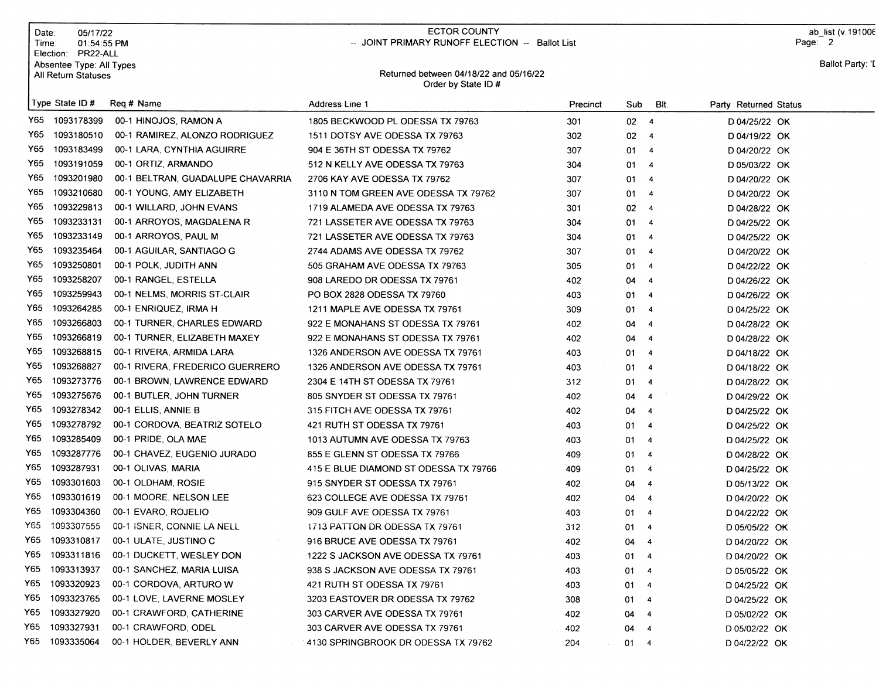|      | Date:<br>05/17/22<br>Time:<br>01:54:55 PM<br>Election: PR22-ALL |                                   | <b>ECTOR COUNTY</b><br>-- JOINT PRIMARY RUNOFF ELECTION -- Ballot List |          |                 |                         | ab list (v.191006<br>Page: 2 |
|------|-----------------------------------------------------------------|-----------------------------------|------------------------------------------------------------------------|----------|-----------------|-------------------------|------------------------------|
|      | Absentee Type: All Types<br>All Return Statuses                 |                                   | Returned between 04/18/22 and 05/16/22<br>Order by State ID#           |          |                 |                         | Ballot Party: 'I             |
|      | Type State ID#                                                  | Reg # Name                        | Address Line 1                                                         | Precinct | Sub             | BIt.                    | Party Returned Status        |
| Y65  | 1093178399                                                      | 00-1 HINOJOS, RAMON A             | 1805 BECKWOOD PL ODESSA TX 79763                                       | 301      | 02 <sub>4</sub> |                         | D 04/25/22 OK                |
| Y65  | 1093180510                                                      | 00-1 RAMIREZ, ALONZO RODRIGUEZ    | 1511 DOTSY AVE ODESSA TX 79763                                         | 302      | 02              | $\overline{4}$          | D 04/19/22 OK                |
| Y65  | 1093183499                                                      | 00-1 LARA, CYNTHIA AGUIRRE        | 904 E 36TH ST ODESSA TX 79762                                          | 307      | 01              | $\overline{4}$          | D 04/20/22 OK                |
| Y65  | 1093191059                                                      | 00-1 ORTIZ, ARMANDO               | 512 N KELLY AVE ODESSA TX 79763                                        | 304      | 01              | $\overline{4}$          | D 05/03/22 OK                |
| Y65  | 1093201980                                                      | 00-1 BELTRAN, GUADALUPE CHAVARRIA | 2706 KAY AVE ODESSA TX 79762                                           | 307      | 01              | $\overline{4}$          | D 04/20/22 OK                |
| Y65  | 1093210680                                                      | 00-1 YOUNG, AMY ELIZABETH         | 3110 N TOM GREEN AVE ODESSA TX 79762                                   | 307      | 01              | 4                       | D 04/20/22 OK                |
| Y65  | 1093229813                                                      | 00-1 WILLARD, JOHN EVANS          | 1719 ALAMEDA AVE ODESSA TX 79763                                       | 301      | 02              | $\overline{4}$          | D 04/28/22 OK                |
| Y65  | 1093233131                                                      | 00-1 ARROYOS, MAGDALENA R         | 721 LASSETER AVE ODESSA TX 79763                                       | 304      | 01              | $\overline{4}$          | D 04/25/22 OK                |
| Y65  | 1093233149                                                      | 00-1 ARROYOS, PAUL M              | 721 LASSETER AVE ODESSA TX 79763                                       | 304      | 01              | $\overline{4}$          | D 04/25/22 OK                |
| Y65. | 1093235464                                                      | 00-1 AGUILAR, SANTIAGO G          | 2744 ADAMS AVE ODESSA TX 79762                                         | 307      | 01              | $\overline{\mathbf{4}}$ | D 04/20/22 OK                |
| Y65. | 1093250801                                                      | 00-1 POLK, JUDITH ANN             | 505 GRAHAM AVE ODESSA TX 79763                                         | 305      | 01              | 4                       | D 04/22/22 OK                |
| Y65. | 1093258207                                                      | 00-1 RANGEL, ESTELLA              | 908 LAREDO DR ODESSA TX 79761                                          | 402      | 04              | 4                       | D 04/26/22 OK                |
| Y65  | 1093259943                                                      | 00-1 NELMS, MORRIS ST-CLAIR       | PO BOX 2828 ODESSA TX 79760                                            | 403      | 01              | $\overline{\mathbf{4}}$ | D 04/26/22 OK                |
| Y65  | 1093264285                                                      | 00-1 ENRIQUEZ, IRMA H             | 1211 MAPLE AVE ODESSA TX 79761                                         | 309      | 01              | $\overline{4}$          | D 04/25/22 OK                |
| Y65  | 1093266803                                                      | 00-1 TURNER, CHARLES EDWARD       | 922 E MONAHANS ST ODESSA TX 79761                                      | 402      | 04              | $\overline{4}$          | D 04/28/22 OK                |
| Y65  | 1093266819                                                      | 00-1 TURNER, ELIZABETH MAXEY      | 922 E MONAHANS ST ODESSA TX 79761                                      | 402      | 04              | -4                      | D 04/28/22 OK                |
| Y65  | 1093268815                                                      | 00-1 RIVERA, ARMIDA LARA          | 1326 ANDERSON AVE ODESSA TX 79761                                      | 403      | 01              | $\overline{4}$          | D 04/18/22 OK                |
| Y65  | 1093268827                                                      | 00-1 RIVERA, FREDERICO GUERRERO   | 1326 ANDERSON AVE ODESSA TX 79761                                      | 403      | 01              | $\overline{4}$          | D 04/18/22 OK                |
| Y65  | 1093273776                                                      | 00-1 BROWN, LAWRENCE EDWARD       | 2304 E 14TH ST ODESSA TX 79761                                         | 312      | 01              | $\overline{4}$          | D 04/28/22 OK                |
| Y65. | 1093275676                                                      | 00-1 BUTLER, JOHN TURNER          | 805 SNYDER ST ODESSA TX 79761                                          | 402      | 04              | 4                       | D 04/29/22 OK                |
| Y65  | 1093278342                                                      | 00-1 ELLIS, ANNIE B               | 315 FITCH AVE ODESSA TX 79761                                          | 402      | 04              | $\overline{\mathbf{4}}$ | D 04/25/22 OK                |
| Y65  | 1093278792                                                      | 00-1 CORDOVA, BEATRIZ SOTELO      | 421 RUTH ST ODESSA TX 79761                                            | 403      | 01              | 4                       | D 04/25/22 OK                |
| Y65  | 1093285409                                                      | 00-1 PRIDE, OLA MAE               | 1013 AUTUMN AVE ODESSA TX 79763                                        | 403      | 01              | 4                       | D 04/25/22 OK                |
| Y65  | 1093287776                                                      | 00-1 CHAVEZ, EUGENIO JURADO       | 855 E GLENN ST ODESSA TX 79766                                         | 409      | 01              | $\overline{4}$          | D 04/28/22 OK                |
| Y65  | 1093287931                                                      | 00-1 OLIVAS, MARIA                | 415 E BLUE DIAMOND ST ODESSA TX 79766                                  | 409      | 01              | $\overline{4}$          | D 04/25/22 OK                |
| Y65  | 1093301603                                                      | 00-1 OLDHAM, ROSIE                | 915 SNYDER ST ODESSA TX 79761                                          | 402      | 04              | $\overline{4}$          | D 05/13/22 OK                |
| Y65  | 1093301619                                                      | 00-1 MOORE, NELSON LEE            | 623 COLLEGE AVE ODESSA TX 79761                                        | 402      | 04              | $\overline{4}$          | D 04/20/22 OK                |
| Y65  | 1093304360                                                      | 00-1 EVARO, ROJELIO               | 909 GULF AVE ODESSA TX 79761                                           | 403      | 01              | $\overline{4}$          | D 04/22/22 OK                |
| Y65  | 1093307555                                                      | 00-1 ISNER, CONNIE LA NELL        | 1713 PATTON DR ODESSA TX 79761                                         | 312      | 01 4            |                         | D 05/05/22 OK                |
| Y65  | 1093310817                                                      | 00-1 ULATE, JUSTINO C             | 916 BRUCE AVE ODESSA TX 79761                                          | 402      | 04 4            |                         | D 04/20/22 OK                |
| Y65  | 1093311816                                                      | 00-1 DUCKETT, WESLEY DON          | 1222 S JACKSON AVE ODESSA TX 79761                                     | 403      | 01              | $\overline{4}$          | D 04/20/22 OK                |
| Y65  | 1093313937                                                      | 00-1 SANCHEZ, MARIA LUISA         | 938 S JACKSON AVE ODESSA TX 79761                                      | 403      | 01 4            |                         | D 05/05/22 OK                |
| Y65  | 1093320923                                                      | 00-1 CORDOVA, ARTURO W            | 421 RUTH ST ODESSA TX 79761                                            | 403      | 01 4            |                         | D 04/25/22 OK                |
| Y65  | 1093323765                                                      | 00-1 LOVE, LAVERNE MOSLEY         | 3203 EASTOVER DR ODESSA TX 79762                                       | 308      | 01.             | $\overline{4}$          | D 04/25/22 OK                |
| Y65  | 1093327920                                                      | 00-1 CRAWFORD, CATHERINE          | 303 CARVER AVE ODESSA TX 79761                                         | 402      | 04              | $\overline{4}$          | D 05/02/22 OK                |
| Y65  | 1093327931                                                      | 00-1 CRAWFORD, ODEL               | 303 CARVER AVE ODESSA TX 79761                                         | 402      | 04              | -4                      | D 05/02/22 OK                |
| Y65  | 1093335064                                                      | 00-1 HOLDER, BEVERLY ANN          | 4130 SPRINGBROOK DR ODESSA TX 79762                                    | 204      | 01 4            |                         | D 04/22/22 OK                |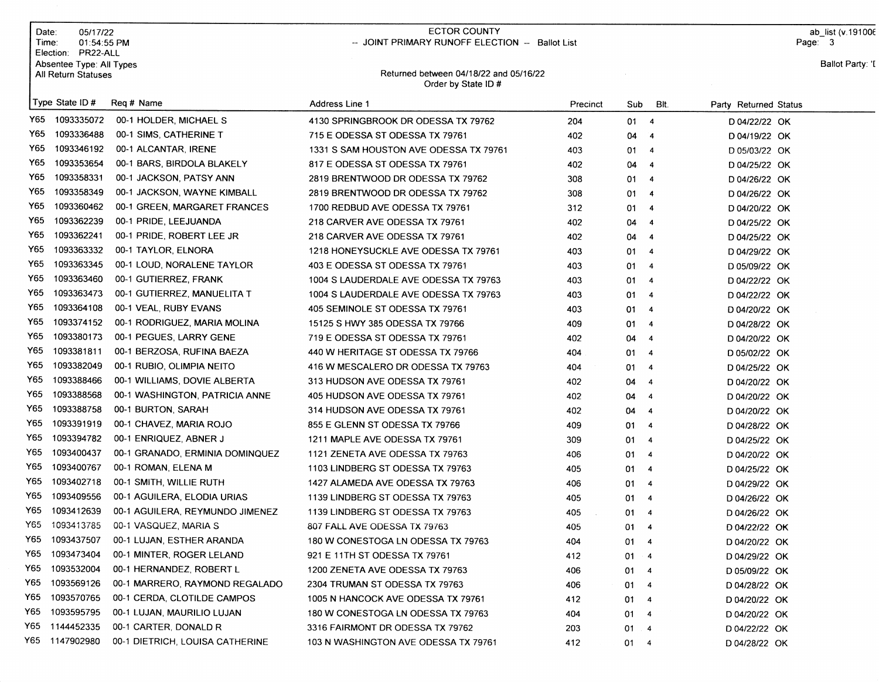|      | Date:<br>05/17/22<br>Time:<br>01:54:55 PM<br>Election: PR22-ALL |                                 | <b>ECTOR COUNTY</b><br>-- JOINT PRIMARY RUNOFF ELECTION -- Ballot List |          |              |                         |                       | ab list (v.191006<br>Page: 3 |
|------|-----------------------------------------------------------------|---------------------------------|------------------------------------------------------------------------|----------|--------------|-------------------------|-----------------------|------------------------------|
|      | Absentee Type: All Types<br>All Return Statuses                 |                                 | Returned between 04/18/22 and 05/16/22<br>Order by State ID#           |          |              |                         |                       | Ballot Party: 'I             |
|      | Type State ID#                                                  | Req # Name                      | Address Line 1                                                         | Precinct | Sub          | BIt.                    | Party Returned Status |                              |
| Y65  | 1093335072                                                      | 00-1 HOLDER, MICHAEL S          | 4130 SPRINGBROOK DR ODESSA TX 79762                                    | 204      | $01 \t 4$    |                         | D 04/22/22 OK         |                              |
| Y65  | 1093336488                                                      | 00-1 SIMS, CATHERINE T          | 715 E ODESSA ST ODESSA TX 79761                                        | 402      | 04           | $\overline{\mathbf{4}}$ | D 04/19/22 OK         |                              |
| Y65  | 1093346192                                                      | 00-1 ALCANTAR, IRENE            | 1331 S SAM HOUSTON AVE ODESSA TX 79761                                 | 403      | 01           | 4                       | D 05/03/22 OK         |                              |
| Y65  | 1093353654                                                      | 00-1 BARS, BIRDOLA BLAKELY      | 817 E ODESSA ST ODESSA TX 79761                                        | 402      | 04           | 4                       | D 04/25/22 OK         |                              |
| Y65  | 1093358331                                                      | 00-1 JACKSON, PATSY ANN         | 2819 BRENTWOOD DR ODESSA TX 79762                                      | 308      | 01           | $\overline{4}$          | D 04/26/22 OK         |                              |
| Y65. | 1093358349                                                      | 00-1 JACKSON, WAYNE KIMBALL     | 2819 BRENTWOOD DR ODESSA TX 79762                                      | 308      | 01           | $\overline{4}$          | D 04/26/22 OK         |                              |
| Y65  | 1093360462                                                      | 00-1 GREEN, MARGARET FRANCES    | 1700 REDBUD AVE ODESSA TX 79761                                        | 312      | 01           | $\overline{4}$          | D 04/20/22 OK         |                              |
| Y65  | 1093362239                                                      | 00-1 PRIDE, LEEJUANDA           | 218 CARVER AVE ODESSA TX 79761                                         | 402      | 04           | 4                       | D 04/25/22 OK         |                              |
| Y65  | 1093362241                                                      | 00-1 PRIDE, ROBERT LEE JR       | 218 CARVER AVE ODESSA TX 79761                                         | 402      | 04           | 4                       | D 04/25/22 OK         |                              |
| Y65  | 1093363332                                                      | 00-1 TAYLOR, ELNORA             | 1218 HONEYSUCKLE AVE ODESSA TX 79761                                   | 403      | 01           | $\overline{4}$          | D 04/29/22 OK         |                              |
| Y65  | 1093363345                                                      | 00-1 LOUD, NORALENE TAYLOR      | 403 E ODESSA ST ODESSA TX 79761                                        | 403      | 01           | $\overline{4}$          | D 05/09/22 OK         |                              |
| Y65  | 1093363460                                                      | 00-1 GUTIERREZ, FRANK           | 1004 S LAUDERDALE AVE ODESSA TX 79763                                  | 403      | 01           | $\overline{4}$          | D 04/22/22 OK         |                              |
| Y65  | 1093363473                                                      | 00-1 GUTIERREZ, MANUELITA T     | 1004 S LAUDERDALE AVE ODESSA TX 79763                                  | 403      | 01           | $\overline{4}$          | D 04/22/22 OK         |                              |
| Y65  | 1093364108                                                      | 00-1 VEAL, RUBY EVANS           | 405 SEMINOLE ST ODESSA TX 79761                                        | 403      | 01           | $\overline{4}$          | D 04/20/22 OK         |                              |
| Y65  | 1093374152                                                      | 00-1 RODRIGUEZ, MARIA MOLINA    | 15125 S HWY 385 ODESSA TX 79766                                        | 409      | 01           | $\overline{\mathbf{A}}$ | D 04/28/22 OK         |                              |
| Y65  | 1093380173                                                      | 00-1 PEGUES, LARRY GENE         | 719 E ODESSA ST ODESSA TX 79761                                        | 402      | 04           | $\overline{4}$          | D 04/20/22 OK         |                              |
| Y65  | 1093381811                                                      | 00-1 BERZOSA, RUFINA BAEZA      | 440 W HERITAGE ST ODESSA TX 79766                                      | 404      | 01           | $\overline{4}$          | D 05/02/22 OK         |                              |
| Y65  | 1093382049                                                      | 00-1 RUBIO, OLIMPIA NEITO       | 416 W MESCALERO DR ODESSA TX 79763                                     | 404      | 01           | $\overline{4}$          | D 04/25/22 OK         |                              |
| Y65  | 1093388466                                                      | 00-1 WILLIAMS, DOVIE ALBERTA    | 313 HUDSON AVE ODESSA TX 79761                                         | 402      | 04           | $\overline{4}$          | D 04/20/22 OK         |                              |
| Y65  | 1093388568                                                      | 00-1 WASHINGTON, PATRICIA ANNE  | 405 HUDSON AVE ODESSA TX 79761                                         | 402      | 04           | $\overline{4}$          | D 04/20/22 OK         |                              |
| Y65  | 1093388758                                                      | 00-1 BURTON, SARAH              | 314 HUDSON AVE ODESSA TX 79761                                         | 402      | 04           | $\overline{4}$          | D 04/20/22 OK         |                              |
| Y65  | 1093391919                                                      | 00-1 CHAVEZ, MARIA ROJO         | 855 E GLENN ST ODESSA TX 79766                                         | 409      | 01           | $\overline{4}$          | D 04/28/22 OK         |                              |
| Y65  | 1093394782                                                      | 00-1 ENRIQUEZ, ABNER J          | 1211 MAPLE AVE ODESSA TX 79761                                         | 309      | 01           | $\overline{4}$          | D 04/25/22 OK         |                              |
| Y65  | 1093400437                                                      | 00-1 GRANADO, ERMINIA DOMINQUEZ | 1121 ZENETA AVE ODESSA TX 79763                                        | 406      | 01           | $\overline{4}$          | D 04/20/22 OK         |                              |
| Y65  | 1093400767                                                      | 00-1 ROMAN, ELENA M             | 1103 LINDBERG ST ODESSA TX 79763                                       | 405      | 01           | $\overline{\bf{4}}$     | D 04/25/22 OK         |                              |
| Y65  | 1093402718                                                      | 00-1 SMITH, WILLIE RUTH         | 1427 ALAMEDA AVE ODESSA TX 79763                                       | 406      | 01           | $\overline{\mathbf{4}}$ | D 04/29/22 OK         |                              |
| Y65  | 1093409556                                                      | 00-1 AGUILERA, ELODIA URIAS     | 1139 LINDBERG ST ODESSA TX 79763                                       | 405      | 01           | $\overline{4}$          | D 04/26/22 OK         |                              |
| Y65  | 1093412639                                                      | 00-1 AGUILERA, REYMUNDO JIMENEZ | 1139 LINDBERG ST ODESSA TX 79763                                       | 405      | 01           | $\overline{4}$          | D 04/26/22 OK         |                              |
| Y65  | 1093413785                                                      | 00-1 VASQUEZ, MARIA S           | 807 FALL AVE ODESSA TX 79763                                           | 405      | 01           | $\overline{4}$          | D 04/22/22 OK         |                              |
| Y65  | 1093437507                                                      | 00-1 LUJAN, ESTHER ARANDA       | 180 W CONESTOGA LN ODESSA TX 79763                                     | 404      | 01           | -4                      | D 04/20/22 OK         |                              |
| Y65. | 1093473404                                                      | 00-1 MINTER, ROGER LELAND       | 921 E 11TH ST ODESSA TX 79761                                          | 412      | 01           | $\overline{4}$          | D 04/29/22 OK         |                              |
| Y65. | 1093532004                                                      | 00-1 HERNANDEZ, ROBERT L        | 1200 ZENETA AVE ODESSA TX 79763                                        | 406      | 01           | $\overline{4}$          | D 05/09/22 OK         |                              |
| Y65  | 1093569126                                                      | 00-1 MARRERO, RAYMOND REGALADO  | 2304 TRUMAN ST ODESSA TX 79763                                         | 406      | $01 \t 4$    |                         | D 04/28/22 OK         |                              |
| Y65  | 1093570765                                                      | 00-1 CERDA, CLOTILDE CAMPOS     | 1005 N HANCOCK AVE ODESSA TX 79761                                     | 412      | $01 \t 4$    |                         | D 04/20/22 OK         |                              |
| Y65  | 1093595795                                                      | 00-1 LUJAN, MAURILIO LUJAN      | 180 W CONESTOGA LN ODESSA TX 79763                                     | 404      | $01 \quad 4$ |                         | D 04/20/22 OK         |                              |
| Y65  | 1144452335                                                      | 00-1 CARTER, DONALD R           | 3316 FAIRMONT DR ODESSA TX 79762                                       | 203      | 01.4         |                         | D 04/22/22 OK         |                              |
|      | Y65 1147902980                                                  | 00-1 DIETRICH, LOUISA CATHERINE | 103 N WASHINGTON AVE ODESSA TX 79761                                   | 412      | 01 4         |                         | D 04/28/22 OK         |                              |
|      |                                                                 |                                 |                                                                        |          |              |                         |                       |                              |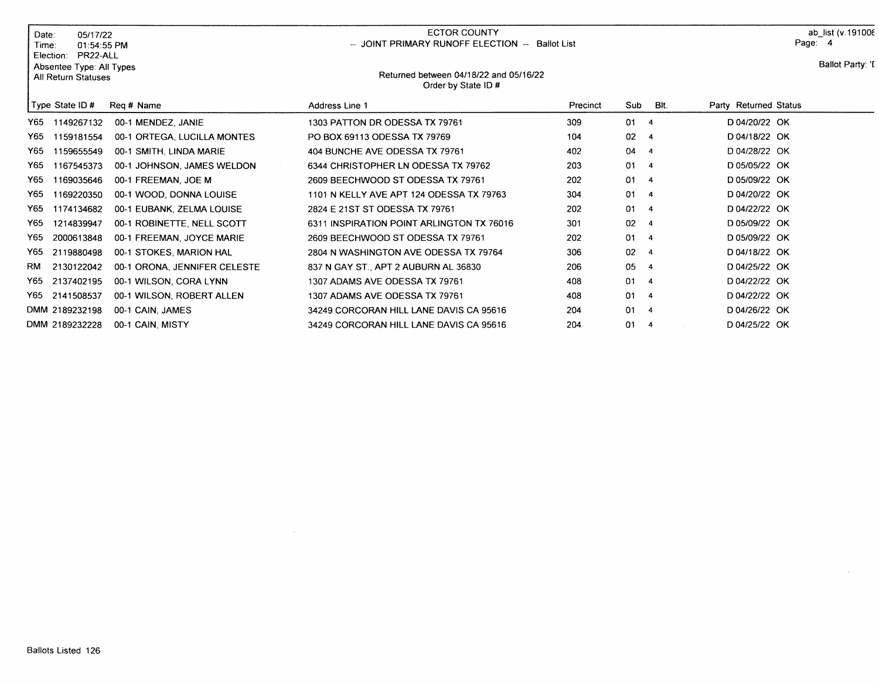| 05/17/22<br>Date:<br>Time:                                               | 01:54:55 PM                  | ECTOR COUNTY<br>-- JOINT PRIMARY RUNOFF ELECTION -- Ballot List |                                        |                 |                         |                       | ab list (v.191006<br>Page: 4 |  |
|--------------------------------------------------------------------------|------------------------------|-----------------------------------------------------------------|----------------------------------------|-----------------|-------------------------|-----------------------|------------------------------|--|
| PR22-ALL<br>Election:<br>Absentee Type: All Types<br>All Return Statuses |                              | Order by State ID#                                              | Returned between 04/18/22 and 05/16/22 |                 |                         |                       | Ballot Party: 'I             |  |
| Type State ID #                                                          | Reg # Name                   | Address Line 1                                                  | Precinct                               | Sub             | BIt.                    | Party Returned Status |                              |  |
| 1149267132<br>Y65 I                                                      | 00-1 MENDEZ, JANIE           | 1303 PATTON DR ODESSA TX 79761                                  | 309                                    | 01              | $\overline{\mathbf{4}}$ | D 04/20/22 OK         |                              |  |
| 1159181554<br>Y65.                                                       | 00-1 ORTEGA, LUCILLA MONTES  | PO BOX 69113 ODESSA TX 79769                                    | 104                                    | 02 <sub>2</sub> | -4                      | D 04/18/22 OK         |                              |  |
| 1159655549<br>Y65.                                                       | 00-1 SMITH, LINDA MARIE      | 404 BUNCHE AVE ODESSA TX 79761                                  | 402                                    | 04              | $\overline{\mathbf{4}}$ | D 04/28/22 OK         |                              |  |
| 1167545373<br>Y65                                                        | 00-1 JOHNSON, JAMES WELDON   | 6344 CHRISTOPHER LN ODESSA TX 79762                             | 203                                    | 01              | $\overline{\bf{4}}$     | D 05/05/22 OK         |                              |  |
| 1169035646<br>Y65                                                        | 00-1 FREEMAN, JOE M          | 2609 BEECHWOOD ST ODESSA TX 79761                               | 202                                    | 01              | $\overline{4}$          | D 05/09/22 OK         |                              |  |
| 1169220350<br>Y65                                                        | 00-1 WOOD, DONNA LOUISE      | 1101 N KELLY AVE APT 124 ODESSA TX 79763                        | 304                                    | 01              | $\overline{\bf{4}}$     | D 04/20/22 OK         |                              |  |
| 1174134682<br>Y65                                                        | 00-1 EUBANK, ZELMA LOUISE    | 2824 E 21ST ST ODESSA TX 79761                                  | 202                                    | 01              | $\overline{4}$          | D 04/22/22 OK         |                              |  |
| Y65<br>1214839947                                                        | 00-1 ROBINETTE, NELL SCOTT   | 6311 INSPIRATION POINT ARLINGTON TX 76016                       | 301                                    | 02              | $\overline{\bf{4}}$     | D 05/09/22 OK         |                              |  |
| Y65<br>2000613848                                                        | 00-1 FREEMAN, JOYCE MARIE    | 2609 BEECHWOOD ST ODESSA TX 79761                               | 202                                    | 01              | $\overline{4}$          | D 05/09/22 OK         |                              |  |
| Y65<br>2119880498                                                        | 00-1 STOKES, MARION HAL      | 2804 N WASHINGTON AVE ODESSA TX 79764                           | 306                                    | 02              | $\overline{4}$          | D 04/18/22 OK         |                              |  |
| 2130122042<br>RM                                                         | 00-1 ORONA, JENNIFER CELESTE | 837 N GAY ST., APT 2 AUBURN AL 36830                            | 206                                    | 05              | $\overline{4}$          | D 04/25/22 OK         |                              |  |
| 2137402195<br>Y65.                                                       | 00-1 WILSON, CORA LYNN       | 1307 ADAMS AVE ODESSA TX 79761                                  | 408                                    | 01              | $\overline{\bf{4}}$     | D 04/22/22 OK         |                              |  |
| 2141508537<br>Y65 I                                                      | 00-1 WILSON, ROBERT ALLEN    | 1307 ADAMS AVE ODESSA TX 79761                                  | 408                                    | 01              | -4                      | D 04/22/22 OK         |                              |  |
| DMM 2189232198                                                           | 00-1 CAIN, JAMES             | 34249 CORCORAN HILL LANE DAVIS CA 95616                         | 204                                    | 01              | $\overline{4}$          | D 04/26/22 OK         |                              |  |
| DMM 2189232228                                                           | 00-1 CAIN, MISTY             | 34249 CORCORAN HILL LANE DAVIS CA 95616                         | 204                                    | 01              | $\overline{4}$          | D 04/25/22 OK         |                              |  |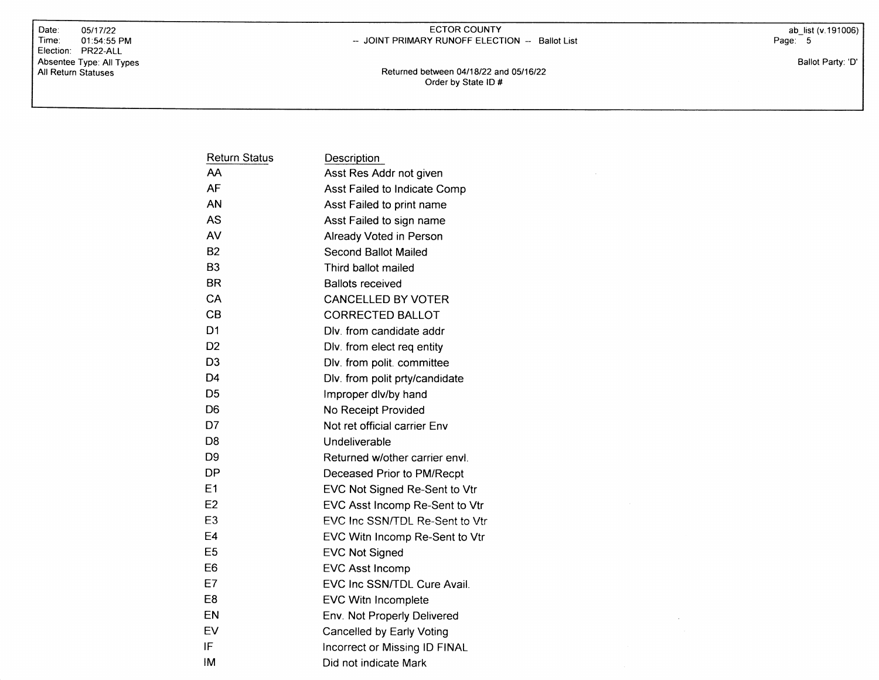Date: 05/17/22<br>Time: 01:54:55  $01:54:55$  PM Election: PR22-ALL Absentee Type: All Types All Return Statuses

## ECTOR COUNTY -- JOINT PRIMARY RUNOFF ELECTION -- Ballot List

ab\_list (v.191 006) Page: <sup>5</sup>

Ballot Party: 'D'

Returned between 04118122 and O5116122 Order by State lD #

|       | × |  |
|-------|---|--|
|       |   |  |
|       |   |  |
|       |   |  |
|       |   |  |
|       |   |  |
|       |   |  |
| ----- |   |  |
|       |   |  |

 $\sim$ 

| <b>Return Status</b> | Description                    |
|----------------------|--------------------------------|
| AA                   | Asst Res Addr not given        |
| AF                   | Asst Failed to Indicate Comp   |
| AN                   | Asst Failed to print name      |
| AS                   | Asst Failed to sign name       |
| AV                   | Already Voted in Person        |
| B2                   | Second Ballot Mailed           |
| B <sub>3</sub>       | Third ballot mailed            |
| <b>BR</b>            | <b>Ballots received</b>        |
| CA                   | <b>CANCELLED BY VOTER</b>      |
| CB                   | <b>CORRECTED BALLOT</b>        |
| D <sub>1</sub>       | Dlv. from candidate addr       |
| D <sub>2</sub>       | Dlv. from elect req entity     |
| D <sub>3</sub>       | Dlv. from polit. committee     |
| D4                   | Dlv. from polit prty/candidate |
| D <sub>5</sub>       | Improper dlv/by hand           |
| D <sub>6</sub>       | No Receipt Provided            |
| D7                   | Not ret official carrier Env   |
| D <sub>8</sub>       | Undeliverable                  |
| D <sub>9</sub>       | Returned w/other carrier envl  |
| DP                   | Deceased Prior to PM/Recpt     |
| E <sub>1</sub>       | EVC Not Signed Re-Sent to Vtr  |
| E <sub>2</sub>       | EVC Asst Incomp Re-Sent to Vtr |
| E <sub>3</sub>       | EVC Inc SSN/TDL Re-Sent to Vtr |
| E4                   | EVC Witn Incomp Re-Sent to Vtr |
| E5                   | <b>EVC Not Signed</b>          |
| E6                   | EVC Asst Incomp                |
| E7                   | EVC Inc SSN/TDL Cure Avail.    |
| E8                   | EVC Witn Incomplete            |
| EN                   | Env. Not Properly Delivered    |
| EV                   | Cancelled by Early Voting      |
| IF                   | Incorrect or Missing ID FINAL  |
| ΙM                   | Did not indicate Mark          |